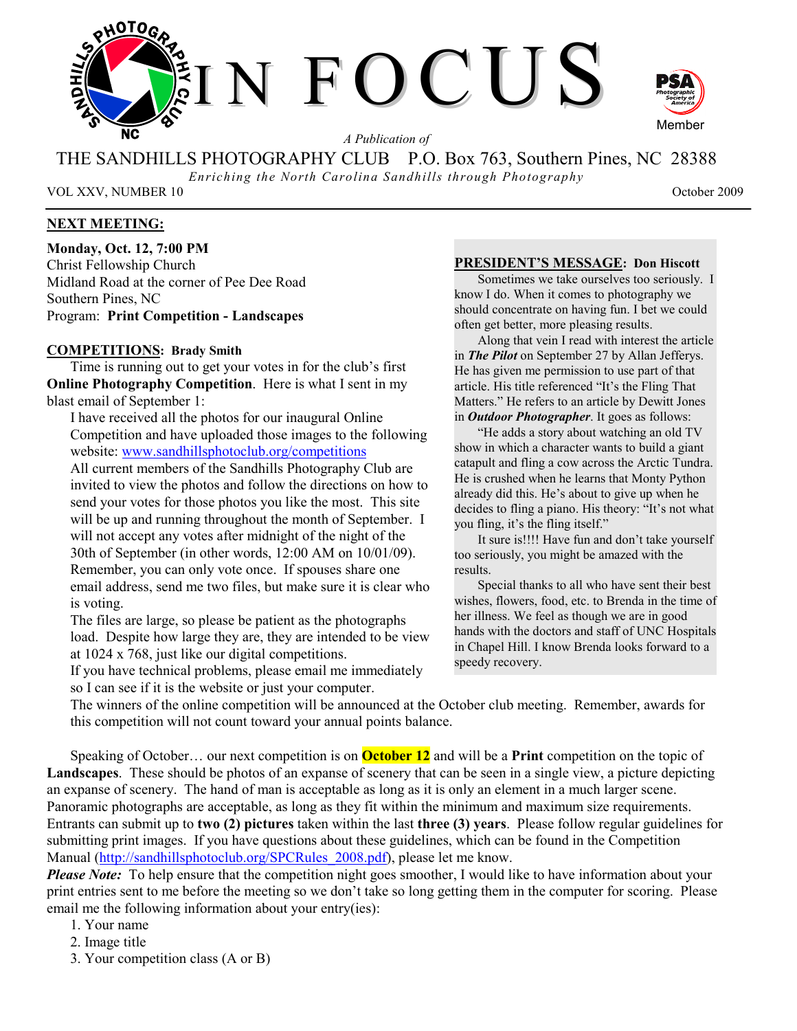

*A Publication of* 

THE SANDHILLS PHOTOGRAPHY CLUB P.O. Box 763, Southern Pines, NC 28388

*Enriching the North Carolina Sandhills through Photography* 

VOL XXV, NUMBER 10 October 2009

# **NEXT MEETING:**

**Monday, Oct. 12, 7:00 PM**  Christ Fellowship Church Midland Road at the corner of Pee Dee Road Southern Pines, NC Program: **Print Competition - Landscapes** 

# **COMPETITIONS: Brady Smith**

Time is running out to get your votes in for the club's first **Online Photography Competition**. Here is what I sent in my blast email of September 1:

I have received all the photos for our inaugural Online Competition and have uploaded those images to the following website: www.sandhillsphotoclub.org/competitions All current members of the Sandhills Photography Club are invited to view the photos and follow the directions on how to send your votes for those photos you like the most. This site will be up and running throughout the month of September. I

will not accept any votes after midnight of the night of the 30th of September (in other words, 12:00 AM on 10/01/09). Remember, you can only vote once. If spouses share one email address, send me two files, but make sure it is clear who is voting.

The files are large, so please be patient as the photographs load. Despite how large they are, they are intended to be view at 1024 x 768, just like our digital competitions.

If you have technical problems, please email me immediately so I can see if it is the website or just your computer.

#### **PRESIDENT'S MESSAGE: Don Hiscott**

Sometimes we take ourselves too seriously. I know I do. When it comes to photography we should concentrate on having fun. I bet we could often get better, more pleasing results.

Along that vein I read with interest the article in *The Pilot* on September 27 by Allan Jefferys. He has given me permission to use part of that article. His title referenced "It's the Fling That Matters." He refers to an article by Dewitt Jones in *Outdoor Photographer*. It goes as follows:

"He adds a story about watching an old TV show in which a character wants to build a giant catapult and fling a cow across the Arctic Tundra. He is crushed when he learns that Monty Python already did this. He's about to give up when he decides to fling a piano. His theory: "It's not what you fling, it's the fling itself."

It sure is!!!! Have fun and don't take yourself too seriously, you might be amazed with the results.

Special thanks to all who have sent their best wishes, flowers, food, etc. to Brenda in the time of her illness. We feel as though we are in good hands with the doctors and staff of UNC Hospitals in Chapel Hill. I know Brenda looks forward to a speedy recovery.

The winners of the online competition will be announced at the October club meeting. Remember, awards for this competition will not count toward your annual points balance.

Speaking of October… our next competition is on **October 12** and will be a **Print** competition on the topic of **Landscapes**. These should be photos of an expanse of scenery that can be seen in a single view, a picture depicting an expanse of scenery. The hand of man is acceptable as long as it is only an element in a much larger scene. Panoramic photographs are acceptable, as long as they fit within the minimum and maximum size requirements. Entrants can submit up to **two (2) pictures** taken within the last **three (3) years**. Please follow regular guidelines for submitting print images. If you have questions about these guidelines, which can be found in the Competition Manual (http://sandhillsphotoclub.org/SPCRules\_2008.pdf), please let me know.

*Please Note:* To help ensure that the competition night goes smoother, I would like to have information about your print entries sent to me before the meeting so we don't take so long getting them in the computer for scoring. Please email me the following information about your entry(ies):

- 1. Your name
- 2. Image title
- 3. Your competition class (A or B)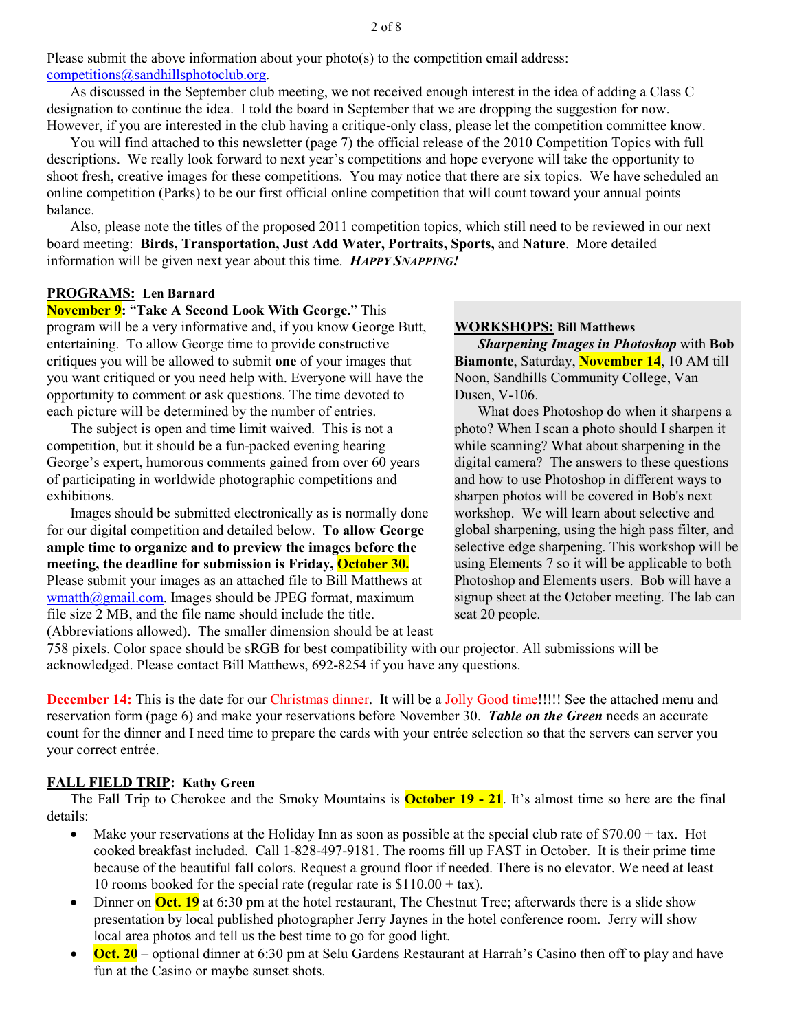Please submit the above information about your  $photo(s)$  to the competition email address: competitions@sandhillsphotoclub.org.

As discussed in the September club meeting, we not received enough interest in the idea of adding a Class C designation to continue the idea. I told the board in September that we are dropping the suggestion for now. However, if you are interested in the club having a critique-only class, please let the competition committee know.

You will find attached to this newsletter (page 7) the official release of the 2010 Competition Topics with full descriptions. We really look forward to next year's competitions and hope everyone will take the opportunity to shoot fresh, creative images for these competitions. You may notice that there are six topics. We have scheduled an online competition (Parks) to be our first official online competition that will count toward your annual points balance.

Also, please note the titles of the proposed 2011 competition topics, which still need to be reviewed in our next board meeting: **Birds, Transportation, Just Add Water, Portraits, Sports,** and **Nature**. More detailed information will be given next year about this time. *HAPPY SNAPPING!* 

# **PROGRAMS: Len Barnard**

**November 9:** "**Take A Second Look With George.**" This program will be a very informative and, if you know George Butt, entertaining. To allow George time to provide constructive critiques you will be allowed to submit **one** of your images that you want critiqued or you need help with. Everyone will have the opportunity to comment or ask questions. The time devoted to each picture will be determined by the number of entries.

The subject is open and time limit waived. This is not a competition, but it should be a fun-packed evening hearing George's expert, humorous comments gained from over 60 years of participating in worldwide photographic competitions and exhibitions.

Images should be submitted electronically as is normally done for our digital competition and detailed below. **To allow George ample time to organize and to preview the images before the meeting, the deadline for submission is Friday, October 30.**  Please submit your images as an attached file to Bill Matthews at  $w$ matth $@g$ mail.com. Images should be JPEG format, maximum file size 2 MB, and the file name should include the title.

(Abbreviations allowed). The smaller dimension should be at least

#### **WORKSHOPS: Bill Matthews**

*Sharpening Images in Photoshop* with **Bob Biamonte**, Saturday, **November 14**, 10 AM till Noon, Sandhills Community College, Van Dusen, V-106.

What does Photoshop do when it sharpens a photo? When I scan a photo should I sharpen it while scanning? What about sharpening in the digital camera? The answers to these questions and how to use Photoshop in different ways to sharpen photos will be covered in Bob's next workshop. We will learn about selective and global sharpening, using the high pass filter, and selective edge sharpening. This workshop will be using Elements 7 so it will be applicable to both Photoshop and Elements users. Bob will have a signup sheet at the October meeting. The lab can seat 20 people.

758 pixels. Color space should be sRGB for best compatibility with our projector. All submissions will be acknowledged. Please contact Bill Matthews, 692-8254 if you have any questions.

**December 14:** This is the date for our Christmas dinner. It will be a Jolly Good time!!!!! See the attached menu and reservation form (page 6) and make your reservations before November 30. *Table on the Green* needs an accurate count for the dinner and I need time to prepare the cards with your entrée selection so that the servers can server you your correct entrée.

### **FALL FIELD TRIP: Kathy Green**

The Fall Trip to Cherokee and the Smoky Mountains is **October 19 - 21**. It's almost time so here are the final details:

- Make your reservations at the Holiday Inn as soon as possible at the special club rate of  $$70.00 + tax$ . Hot cooked breakfast included. Call 1-828-497-9181. The rooms fill up FAST in October. It is their prime time because of the beautiful fall colors. Request a ground floor if needed. There is no elevator. We need at least 10 rooms booked for the special rate (regular rate is  $$110.00 + tax$ ).
- Dinner on **Oct. 19** at 6:30 pm at the hotel restaurant, The Chestnut Tree; afterwards there is a slide show presentation by local published photographer Jerry Jaynes in the hotel conference room. Jerry will show local area photos and tell us the best time to go for good light.
- **Oct. 20** optional dinner at 6:30 pm at Selu Gardens Restaurant at Harrah's Casino then off to play and have fun at the Casino or maybe sunset shots.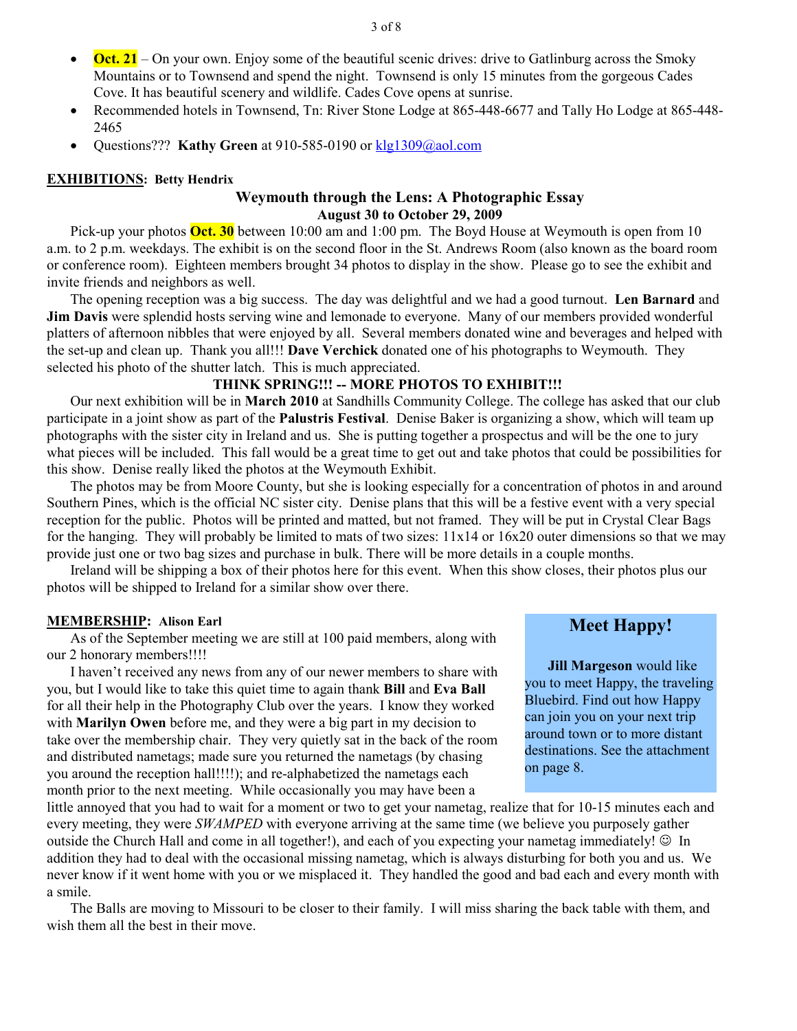- **Oct. 21** On your own. Enjoy some of the beautiful scenic drives: drive to Gatlinburg across the Smoky Mountains or to Townsend and spend the night. Townsend is only 15 minutes from the gorgeous Cades Cove. It has beautiful scenery and wildlife. Cades Cove opens at sunrise.
- Recommended hotels in Townsend, Tn: River Stone Lodge at 865-448-6677 and Tally Ho Lodge at 865-448- 2465
- Questions??? **Kathy Green** at 910-585-0190 or **klg1309@aol.com**

# **EXHIBITIONS: Betty Hendrix**

# **Weymouth through the Lens: A Photographic Essay August 30 to October 29, 2009**

Pick-up your photos **Oct. 30** between 10:00 am and 1:00 pm. The Boyd House at Weymouth is open from 10 a.m. to 2 p.m. weekdays. The exhibit is on the second floor in the St. Andrews Room (also known as the board room or conference room). Eighteen members brought 34 photos to display in the show. Please go to see the exhibit and invite friends and neighbors as well.

The opening reception was a big success. The day was delightful and we had a good turnout. **Len Barnard** and **Jim Davis** were splendid hosts serving wine and lemonade to everyone. Many of our members provided wonderful platters of afternoon nibbles that were enjoyed by all. Several members donated wine and beverages and helped with the set-up and clean up. Thank you all!!! **Dave Verchick** donated one of his photographs to Weymouth. They selected his photo of the shutter latch. This is much appreciated.

# **THINK SPRING!!! -- MORE PHOTOS TO EXHIBIT!!!**

Our next exhibition will be in **March 2010** at Sandhills Community College. The college has asked that our club participate in a joint show as part of the **Palustris Festival**. Denise Baker is organizing a show, which will team up photographs with the sister city in Ireland and us. She is putting together a prospectus and will be the one to jury what pieces will be included. This fall would be a great time to get out and take photos that could be possibilities for this show. Denise really liked the photos at the Weymouth Exhibit.

The photos may be from Moore County, but she is looking especially for a concentration of photos in and around Southern Pines, which is the official NC sister city. Denise plans that this will be a festive event with a very special reception for the public. Photos will be printed and matted, but not framed. They will be put in Crystal Clear Bags for the hanging. They will probably be limited to mats of two sizes:  $11x14$  or  $16x20$  outer dimensions so that we may provide just one or two bag sizes and purchase in bulk. There will be more details in a couple months.

Ireland will be shipping a box of their photos here for this event. When this show closes, their photos plus our photos will be shipped to Ireland for a similar show over there.

#### **MEMBERSHIP: Alison Earl**

As of the September meeting we are still at 100 paid members, along with our 2 honorary members!!!!

I haven't received any news from any of our newer members to share with you, but I would like to take this quiet time to again thank **Bill** and **Eva Ball** for all their help in the Photography Club over the years. I know they worked with **Marilyn Owen** before me, and they were a big part in my decision to take over the membership chair. They very quietly sat in the back of the room and distributed nametags; made sure you returned the nametags (by chasing you around the reception hall!!!!); and re-alphabetized the nametags each month prior to the next meeting. While occasionally you may have been a

little annoyed that you had to wait for a moment or two to get your nametag, realize that for 10-15 minutes each and every meeting, they were *SWAMPED* with everyone arriving at the same time (we believe you purposely gather outside the Church Hall and come in all together!), and each of you expecting your nametag immediately!  $\odot$  In addition they had to deal with the occasional missing nametag, which is always disturbing for both you and us. We never know if it went home with you or we misplaced it. They handled the good and bad each and every month with a smile.

The Balls are moving to Missouri to be closer to their family. I will miss sharing the back table with them, and wish them all the best in their move.

# **Meet Happy!**

**Jill Margeson** would like you to meet Happy, the traveling Bluebird. Find out how Happy can join you on your next trip around town or to more distant destinations. See the attachment on page 8.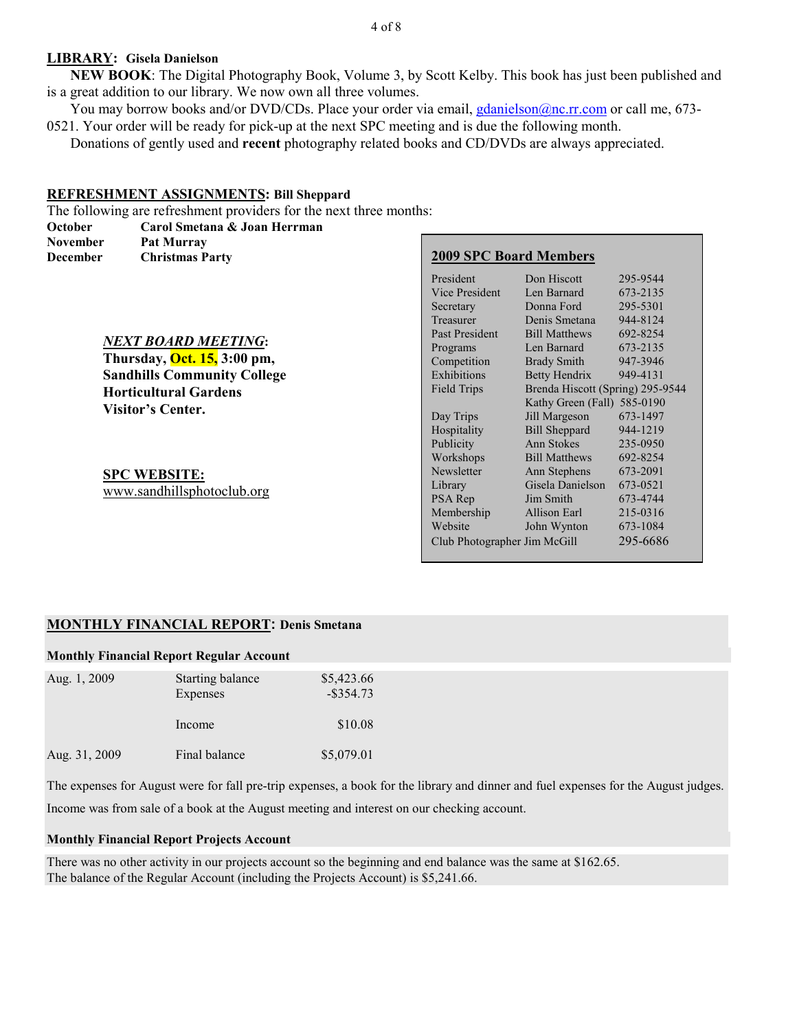#### 4 of 8

#### **LIBRARY: Gisela Danielson**

**NEW BOOK**: The Digital Photography Book, Volume 3, by Scott Kelby. This book has just been published and is a great addition to our library. We now own all three volumes.

You may borrow books and/or DVD/CDs. Place your order via email, gdanielson@nc.rr.com or call me, 673-0521. Your order will be ready for pick-up at the next SPC meeting and is due the following month.

Donations of gently used and **recent** photography related books and CD/DVDs are always appreciated.

#### **REFRESHMENT ASSIGNMENTS: Bill Sheppard**

The following are refreshment providers for the next three months:

| October                      | Carol Smetana & Joan Herrman       |                               |                                  |          |
|------------------------------|------------------------------------|-------------------------------|----------------------------------|----------|
| November                     | Pat Murray                         |                               |                                  |          |
| December                     | <b>Christmas Party</b>             | <b>2009 SPC Board Members</b> |                                  |          |
|                              |                                    | President                     | Don Hiscott                      | 295-9544 |
|                              |                                    | Vice President                | Len Barnard                      | 673-2135 |
|                              |                                    | Secretary                     | Donna Ford                       | 295-5301 |
|                              |                                    | Treasurer                     | Denis Smetana                    | 944-8124 |
|                              |                                    | Past President                | <b>Bill Matthews</b>             | 692-8254 |
| <b>NEXT BOARD MEETING:</b>   |                                    | Programs                      | Len Barnard                      | 673-2135 |
|                              | Thursday, <b>Oct. 15, 3:00 pm,</b> | Competition                   | <b>Brady Smith</b>               | 947-3946 |
|                              | <b>Sandhills Community College</b> | Exhibitions                   | <b>Betty Hendrix</b>             | 949-4131 |
| <b>Horticultural Gardens</b> |                                    | Field Trips                   | Brenda Hiscott (Spring) 295-9544 |          |
|                              | Visitor's Center.                  |                               | Kathy Green (Fall) 585-0190      |          |
|                              |                                    | Day Trips                     | Jill Margeson                    | 673-1497 |
|                              |                                    | Hospitality                   | <b>Bill Sheppard</b>             | 944-1219 |
|                              |                                    | Publicity                     | Ann Stokes                       | 235-0950 |
|                              |                                    | Workshops                     | <b>Bill Matthews</b>             | 692-8254 |
| <b>SPC WEBSITE:</b>          |                                    | Newsletter                    | Ann Stephens                     | 673-2091 |
|                              | www.sandhillsphotoclub.org         | Library                       | Gisela Danielson                 | 673-0521 |
|                              |                                    | PSA Rep                       | Jim Smith                        | 673-4744 |
|                              |                                    | Membership                    | Allison Earl                     | 215-0316 |
|                              |                                    | Website                       | John Wynton                      | 673-1084 |
|                              |                                    | Club Photographer Jim McGill  |                                  | 295-6686 |

### **MONTHLY FINANCIAL REPORT: Denis Smetana**

#### **Monthly Financial Report Regular Account**

| Aug. 1, 2009  | Starting balance<br>Expenses | \$5,423.66<br>$-$ \$354.73 |
|---------------|------------------------------|----------------------------|
|               | Income                       | \$10.08                    |
| Aug. 31, 2009 | Final balance                | \$5,079.01                 |

The expenses for August were for fall pre-trip expenses, a book for the library and dinner and fuel expenses for the August judges.

Income was from sale of a book at the August meeting and interest on our checking account.

# **Monthly Financial Report Projects Account**

There was no other activity in our projects account so the beginning and end balance was the same at \$162.65. The balance of the Regular Account (including the Projects Account) is \$5,241.66.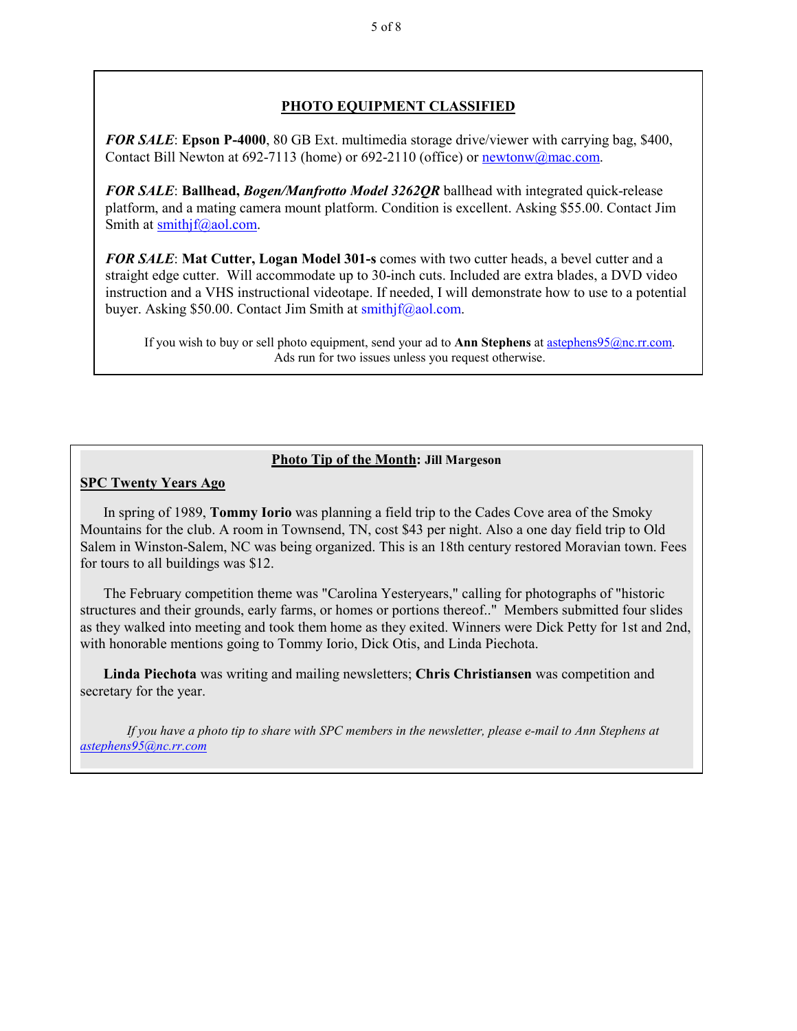# **PHOTO EQUIPMENT CLASSIFIED**

*FOR SALE*: **Epson P-4000**, 80 GB Ext. multimedia storage drive/viewer with carrying bag, \$400, Contact Bill Newton at 692-7113 (home) or 692-2110 (office) or newtonw@mac.com.

*FOR SALE*: **Ballhead,** *Bogen/Manfrotto Model 3262QR* ballhead with integrated quick-release platform, and a mating camera mount platform. Condition is excellent. Asking \$55.00. Contact Jim Smith at smithjf@aol.com.

*FOR SALE*: **Mat Cutter, Logan Model 301-s** comes with two cutter heads, a bevel cutter and a straight edge cutter. Will accommodate up to 30-inch cuts. Included are extra blades, a DVD video instruction and a VHS instructional videotape. If needed, I will demonstrate how to use to a potential buyer. Asking \$50.00. Contact Jim Smith at smithjf@aol.com.

If you wish to buy or sell photo equipment, send your ad to **Ann Stephens** at astephens95@nc.rr.com. Ads run for two issues unless you request otherwise.

# **Photo Tip of the Month: Jill Margeson**

# **SPC Twenty Years Ago**

In spring of 1989, **Tommy Iorio** was planning a field trip to the Cades Cove area of the Smoky Mountains for the club. A room in Townsend, TN, cost \$43 per night. Also a one day field trip to Old Salem in Winston-Salem, NC was being organized. This is an 18th century restored Moravian town. Fees for tours to all buildings was \$12.

The February competition theme was "Carolina Yesteryears," calling for photographs of "historic structures and their grounds, early farms, or homes or portions thereof.." Members submitted four slides as they walked into meeting and took them home as they exited. Winners were Dick Petty for 1st and 2nd, with honorable mentions going to Tommy Iorio, Dick Otis, and Linda Piechota.

**Linda Piechota** was writing and mailing newsletters; **Chris Christiansen** was competition and secretary for the year.

*If you have a photo tip to share with SPC members in the newsletter, please e-mail to Ann Stephens at astephens95@nc.rr.com*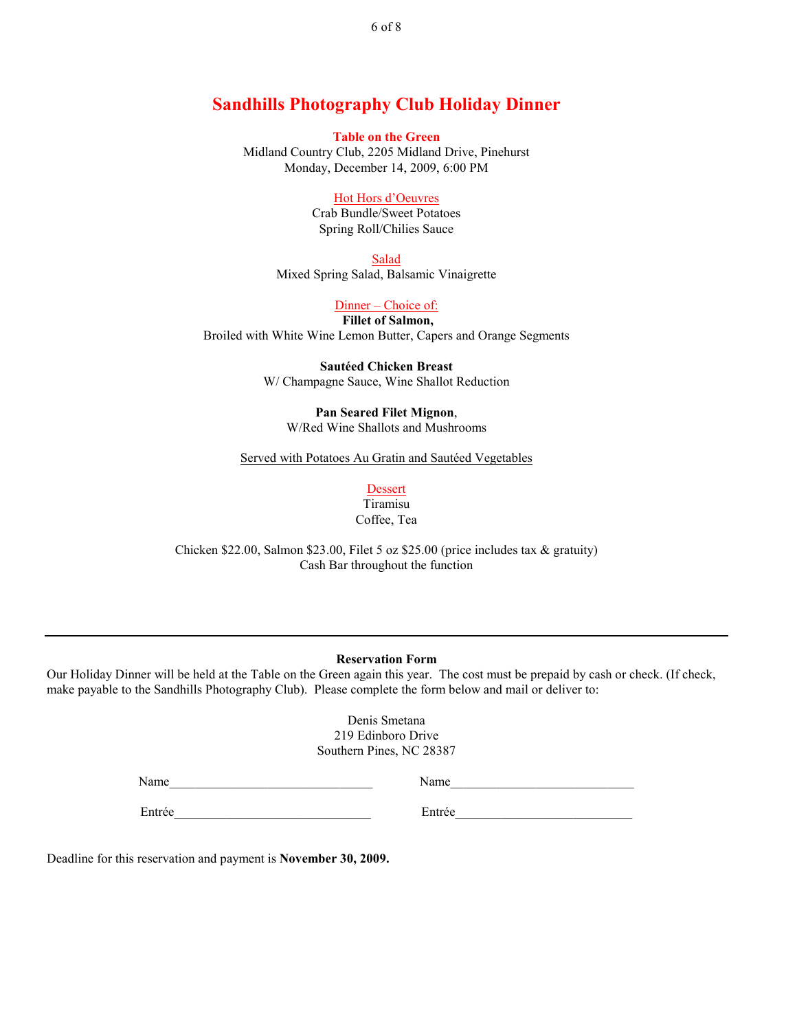# **Sandhills Photography Club Holiday Dinner**

**Table on the Green** Midland Country Club, 2205 Midland Drive, Pinehurst Monday, December 14, 2009, 6:00 PM

#### Hot Hors d'Oeuvres

Crab Bundle/Sweet Potatoes Spring Roll/Chilies Sauce

Salad Mixed Spring Salad, Balsamic Vinaigrette

Dinner – Choice of:

**Fillet of Salmon,**  Broiled with White Wine Lemon Butter, Capers and Orange Segments

> **Sautéed Chicken Breast**  W/ Champagne Sauce, Wine Shallot Reduction

**Pan Seared Filet Mignon**, W/Red Wine Shallots and Mushrooms

Served with Potatoes Au Gratin and Sautéed Vegetables

Dessert Tiramisu Coffee, Tea

Chicken \$22.00, Salmon \$23.00, Filet 5 oz \$25.00 (price includes tax & gratuity) Cash Bar throughout the function

#### **Reservation Form**

Our Holiday Dinner will be held at the Table on the Green again this year. The cost must be prepaid by cash or check. (If check, make payable to the Sandhills Photography Club). Please complete the form below and mail or deliver to:

> Denis Smetana 219 Edinboro Drive Southern Pines, NC 28387

Name\_\_\_\_\_\_\_\_\_\_\_\_\_\_\_\_\_\_\_\_\_\_\_\_\_\_\_\_\_\_\_ Name\_\_\_\_\_\_\_\_\_\_\_\_\_\_\_\_\_\_\_\_\_\_\_\_\_\_\_\_

Entrée

Deadline for this reservation and payment is **November 30, 2009.** 

6 of 8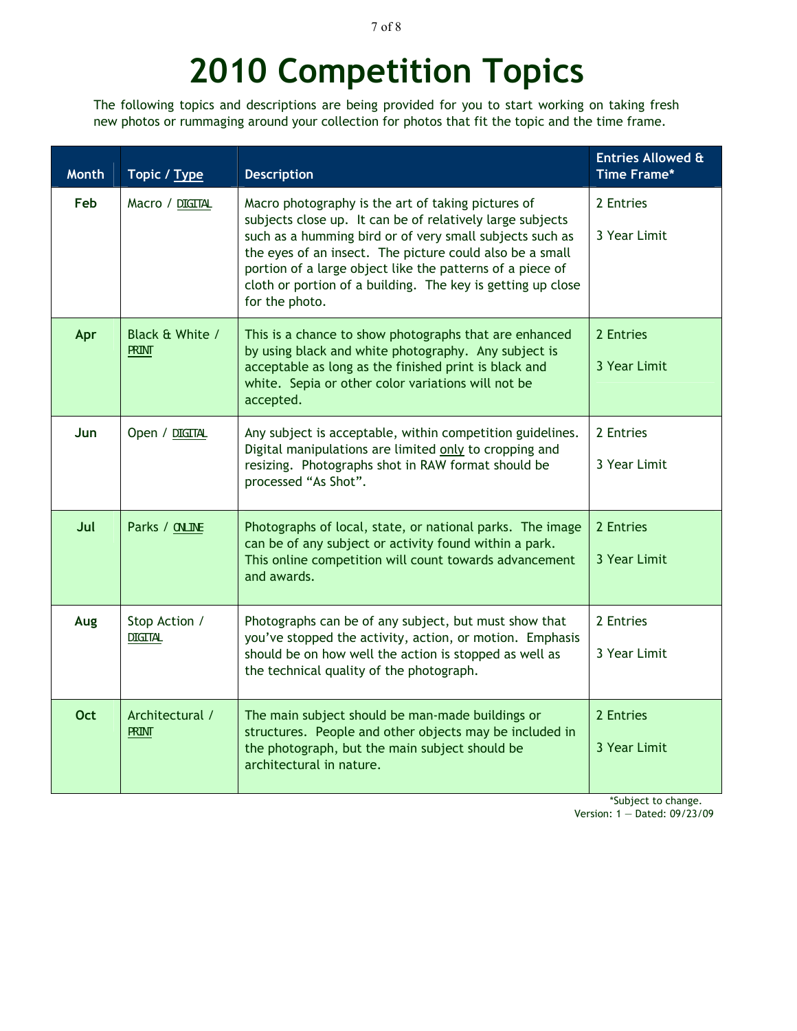#### 7 of 8

# **2010 Competition Topics**

The following topics and descriptions are being provided for you to start working on taking fresh new photos or rummaging around your collection for photos that fit the topic and the time frame.

| <b>Month</b> | Topic / Type                    | <b>Description</b>                                                                                                                                                                                                                                                                                                                                                                    | <b>Entries Allowed &amp;</b><br>Time Frame* |
|--------------|---------------------------------|---------------------------------------------------------------------------------------------------------------------------------------------------------------------------------------------------------------------------------------------------------------------------------------------------------------------------------------------------------------------------------------|---------------------------------------------|
| Feb          | Macro / DIGITAL                 | Macro photography is the art of taking pictures of<br>subjects close up. It can be of relatively large subjects<br>such as a humming bird or of very small subjects such as<br>the eyes of an insect. The picture could also be a small<br>portion of a large object like the patterns of a piece of<br>cloth or portion of a building. The key is getting up close<br>for the photo. | 2 Entries<br>3 Year Limit                   |
| Apr          | Black & White /<br><b>PRINT</b> | This is a chance to show photographs that are enhanced<br>by using black and white photography. Any subject is<br>acceptable as long as the finished print is black and<br>white. Sepia or other color variations will not be<br>accepted.                                                                                                                                            | 2 Entries<br>3 Year Limit                   |
| Jun          | Open / DIGITAL                  | Any subject is acceptable, within competition guidelines.<br>Digital manipulations are limited only to cropping and<br>resizing. Photographs shot in RAW format should be<br>processed "As Shot".                                                                                                                                                                                     | 2 Entries<br>3 Year Limit                   |
| Jul          | Parks / CNLINE                  | Photographs of local, state, or national parks. The image<br>can be of any subject or activity found within a park.<br>This online competition will count towards advancement<br>and awards.                                                                                                                                                                                          | 2 Entries<br>3 Year Limit                   |
| Aug          | Stop Action /<br><b>DIGITAL</b> | Photographs can be of any subject, but must show that<br>you've stopped the activity, action, or motion. Emphasis<br>should be on how well the action is stopped as well as<br>the technical quality of the photograph.                                                                                                                                                               | 2 Entries<br>3 Year Limit                   |
| <b>Oct</b>   | Architectural /<br><b>PRINT</b> | The main subject should be man-made buildings or<br>structures. People and other objects may be included in<br>the photograph, but the main subject should be<br>architectural in nature.                                                                                                                                                                                             | 2 Entries<br>3 Year Limit                   |

\*Subject to change. Version: 1 — Dated: 09/23/09